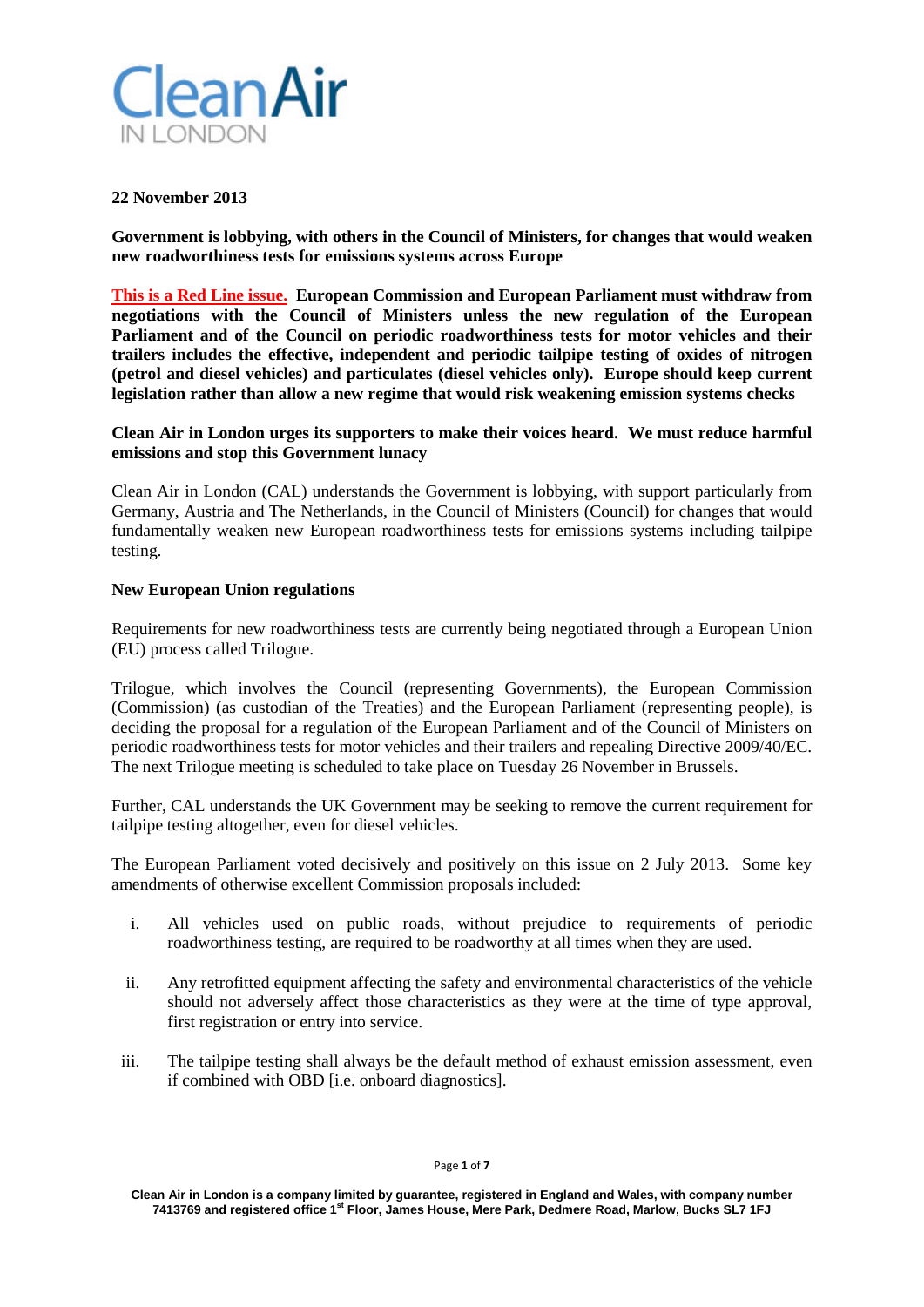

# **22 November 2013**

**Government is lobbying, with others in the Council of Ministers, for changes that would weaken new roadworthiness tests for emissions systems across Europe**

**This is a Red Line issue. European Commission and European Parliament must withdraw from negotiations with the Council of Ministers unless the new regulation of the European Parliament and of the Council on periodic roadworthiness tests for motor vehicles and their trailers includes the effective, independent and periodic tailpipe testing of oxides of nitrogen (petrol and diesel vehicles) and particulates (diesel vehicles only). Europe should keep current legislation rather than allow a new regime that would risk weakening emission systems checks**

# **Clean Air in London urges its supporters to make their voices heard. We must reduce harmful emissions and stop this Government lunacy**

Clean Air in London (CAL) understands the Government is lobbying, with support particularly from Germany, Austria and The Netherlands, in the Council of Ministers (Council) for changes that would fundamentally weaken new European roadworthiness tests for emissions systems including tailpipe testing.

# **New European Union regulations**

Requirements for new roadworthiness tests are currently being negotiated through a European Union (EU) process called Trilogue.

Trilogue, which involves the Council (representing Governments), the European Commission (Commission) (as custodian of the Treaties) and the European Parliament (representing people), is deciding the proposal for a regulation of the European Parliament and of the Council of Ministers on periodic roadworthiness tests for motor vehicles and their trailers and repealing Directive 2009/40/EC. The next Trilogue meeting is scheduled to take place on Tuesday 26 November in Brussels.

Further, CAL understands the UK Government may be seeking to remove the current requirement for tailpipe testing altogether, even for diesel vehicles.

The European Parliament voted decisively and positively on this issue on 2 July 2013. Some key amendments of otherwise excellent Commission proposals included:

- i. All vehicles used on public roads, without prejudice to requirements of periodic roadworthiness testing, are required to be roadworthy at all times when they are used.
- ii. Any retrofitted equipment affecting the safety and environmental characteristics of the vehicle should not adversely affect those characteristics as they were at the time of type approval, first registration or entry into service.
- iii. The tailpipe testing shall always be the default method of exhaust emission assessment, even if combined with OBD [i.e. onboard diagnostics].

Page **1** of **7**

**Clean Air in London is a company limited by guarantee, registered in England and Wales, with company number 7413769 and registered office 1st Floor, James House, Mere Park, Dedmere Road, Marlow, Bucks SL7 1FJ**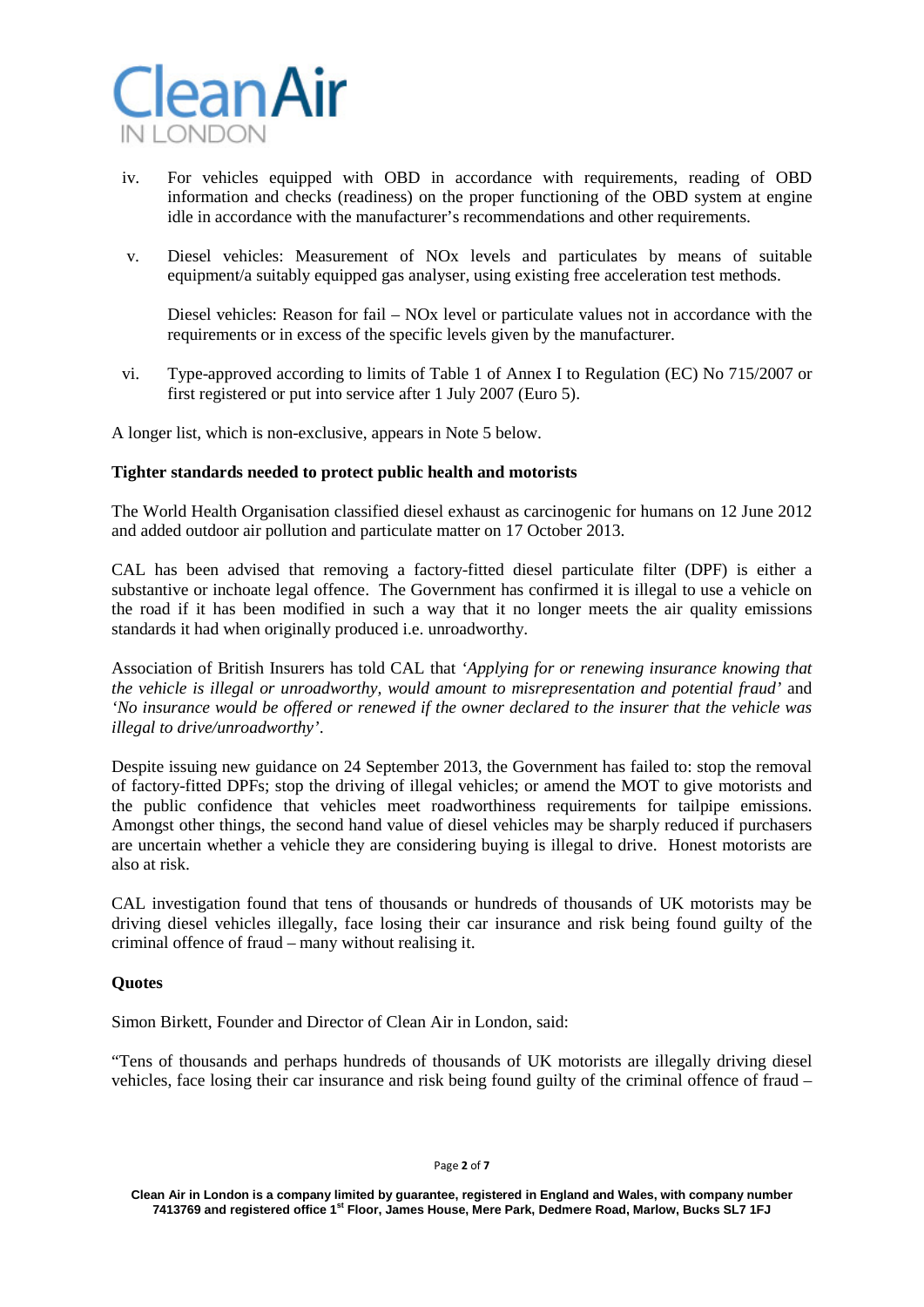

- iv. For vehicles equipped with OBD in accordance with requirements, reading of OBD information and checks (readiness) on the proper functioning of the OBD system at engine idle in accordance with the manufacturer's recommendations and other requirements.
- v. Diesel vehicles: Measurement of NOx levels and particulates by means of suitable equipment/a suitably equipped gas analyser, using existing free acceleration test methods.

Diesel vehicles: Reason for fail – NOx level or particulate values not in accordance with the requirements or in excess of the specific levels given by the manufacturer.

- vi. Type-approved according to limits of Table 1 of Annex I to Regulation (EC) No 715/2007 or first registered or put into service after 1 July 2007 (Euro 5).
- A longer list, which is non-exclusive, appears in Note 5 below.

### **Tighter standards needed to protect public health and motorists**

The World Health Organisation classified diesel exhaust as carcinogenic for humans on 12 June 2012 and added outdoor air pollution and particulate matter on 17 October 2013.

CAL has been advised that removing a factory-fitted diesel particulate filter (DPF) is either a substantive or inchoate legal offence. The Government has confirmed it is illegal to use a vehicle on the road if it has been modified in such a way that it no longer meets the air quality emissions standards it had when originally produced i.e. unroadworthy.

Association of British Insurers has told CAL that *'Applying for or renewing insurance knowing that the vehicle is illegal or unroadworthy, would amount to misrepresentation and potential fraud'* and *'No insurance would be offered or renewed if the owner declared to the insurer that the vehicle was illegal to drive/unroadworthy'*.

Despite issuing new guidance on 24 September 2013, the Government has failed to: stop the removal of factory-fitted DPFs; stop the driving of illegal vehicles; or amend the MOT to give motorists and the public confidence that vehicles meet roadworthiness requirements for tailpipe emissions. Amongst other things, the second hand value of diesel vehicles may be sharply reduced if purchasers are uncertain whether a vehicle they are considering buying is illegal to drive. Honest motorists are also at risk.

CAL investigation found that tens of thousands or hundreds of thousands of UK motorists may be driving diesel vehicles illegally, face losing their car insurance and risk being found guilty of the criminal offence of fraud – many without realising it.

### **Quotes**

Simon Birkett, Founder and Director of Clean Air in London, said:

"Tens of thousands and perhaps hundreds of thousands of UK motorists are illegally driving diesel vehicles, face losing their car insurance and risk being found guilty of the criminal offence of fraud –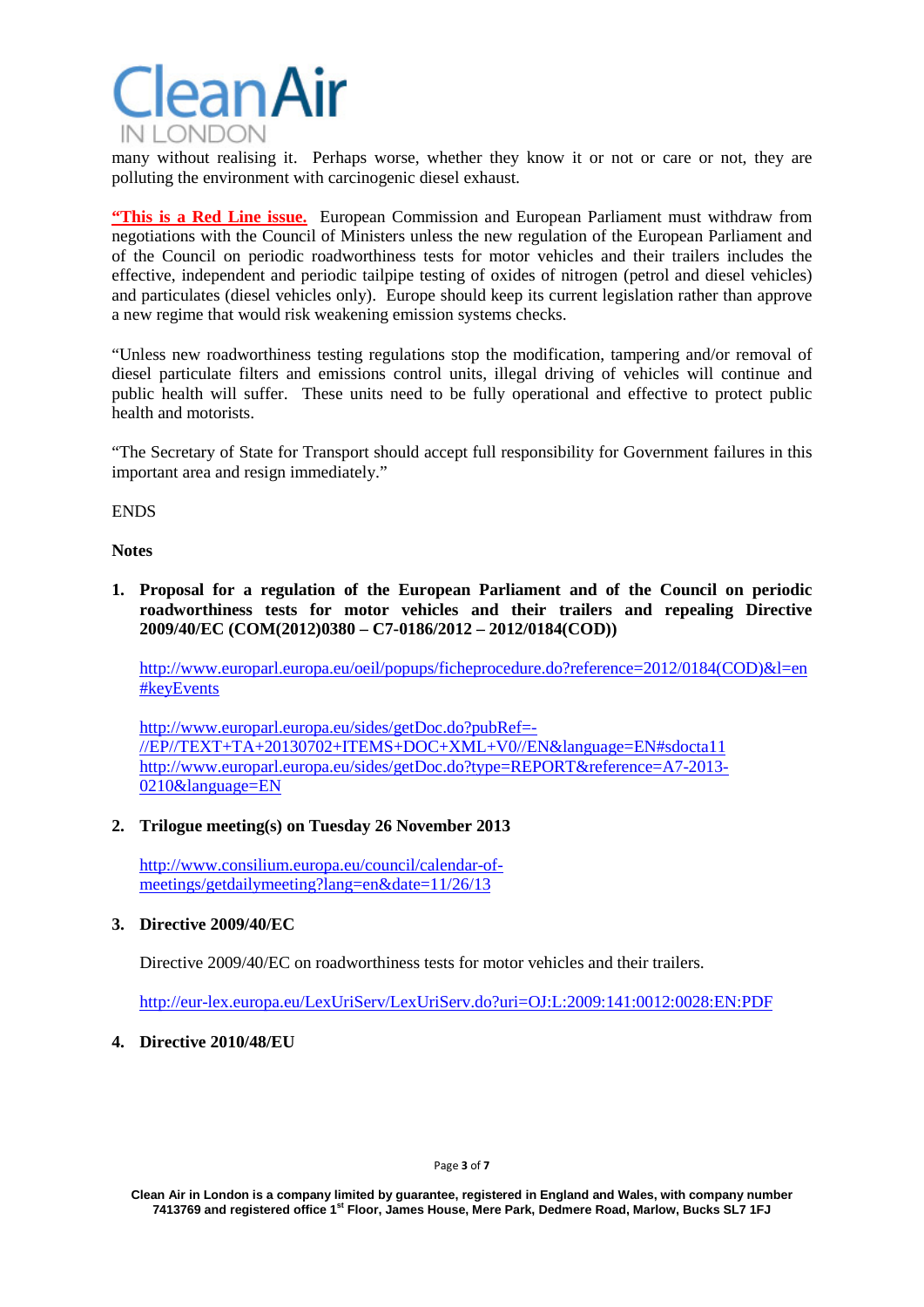

many without realising it. Perhaps worse, whether they know it or not or care or not, they are polluting the environment with carcinogenic diesel exhaust.

**"This is a Red Line issue.** European Commission and European Parliament must withdraw from negotiations with the Council of Ministers unless the new regulation of the European Parliament and of the Council on periodic roadworthiness tests for motor vehicles and their trailers includes the effective, independent and periodic tailpipe testing of oxides of nitrogen (petrol and diesel vehicles) and particulates (diesel vehicles only). Europe should keep its current legislation rather than approve a new regime that would risk weakening emission systems checks.

"Unless new roadworthiness testing regulations stop the modification, tampering and/or removal of diesel particulate filters and emissions control units, illegal driving of vehicles will continue and public health will suffer. These units need to be fully operational and effective to protect public health and motorists.

"The Secretary of State for Transport should accept full responsibility for Government failures in this important area and resign immediately."

**ENDS** 

### **Notes**

**1. Proposal for a regulation of the European Parliament and of the Council on periodic roadworthiness tests for motor vehicles and their trailers and repealing Directive 2009/40/EC [\(COM\(2012\)0380](http://ec.europa.eu/prelex/liste_resultats.cfm?CL=en&ReqId=0&DocType=COM&DocYear=2012&DocNum=0380) – C7-0186/2012 – [2012/0184\(COD\)\)](http://www.europarl.europa.eu/oeil/popups/ficheprocedure.do?lang=en&reference=2012/0184(COD))**

[http://www.europarl.europa.eu/oeil/popups/ficheprocedure.do?reference=2012/0184\(COD\)&l=en](http://www.europarl.europa.eu/oeil/popups/ficheprocedure.do?reference=2012/0184(COD)&l=en#keyEvents) [#keyEvents](http://www.europarl.europa.eu/oeil/popups/ficheprocedure.do?reference=2012/0184(COD)&l=en#keyEvents)

[http://www.europarl.europa.eu/sides/getDoc.do?pubRef=-](http://www.europarl.europa.eu/sides/getDoc.do?pubRef=-//EP//TEXT+TA+20130702+ITEMS+DOC+XML+V0//EN&language=EN#sdocta11) [//EP//TEXT+TA+20130702+ITEMS+DOC+XML+V0//EN&language=EN#sdocta11](http://www.europarl.europa.eu/sides/getDoc.do?pubRef=-//EP//TEXT+TA+20130702+ITEMS+DOC+XML+V0//EN&language=EN#sdocta11) [http://www.europarl.europa.eu/sides/getDoc.do?type=REPORT&reference=A7-2013-](http://www.europarl.europa.eu/sides/getDoc.do?type=REPORT&reference=A7-2013-0210&language=EN) [0210&language=EN](http://www.europarl.europa.eu/sides/getDoc.do?type=REPORT&reference=A7-2013-0210&language=EN)

# **2. Trilogue meeting(s) on Tuesday 26 November 2013**

[http://www.consilium.europa.eu/council/calendar-of](http://www.consilium.europa.eu/council/calendar-of-meetings/getdailymeeting?lang=en&date=11/26/13)[meetings/getdailymeeting?lang=en&date=11/26/13](http://www.consilium.europa.eu/council/calendar-of-meetings/getdailymeeting?lang=en&date=11/26/13)

# **3. Directive 2009/40/EC**

Directive 2009/40/EC on roadworthiness tests for motor vehicles and their trailers.

<http://eur-lex.europa.eu/LexUriServ/LexUriServ.do?uri=OJ:L:2009:141:0012:0028:EN:PDF>

### **4. Directive 2010/48/EU**

#### Page **3** of **7**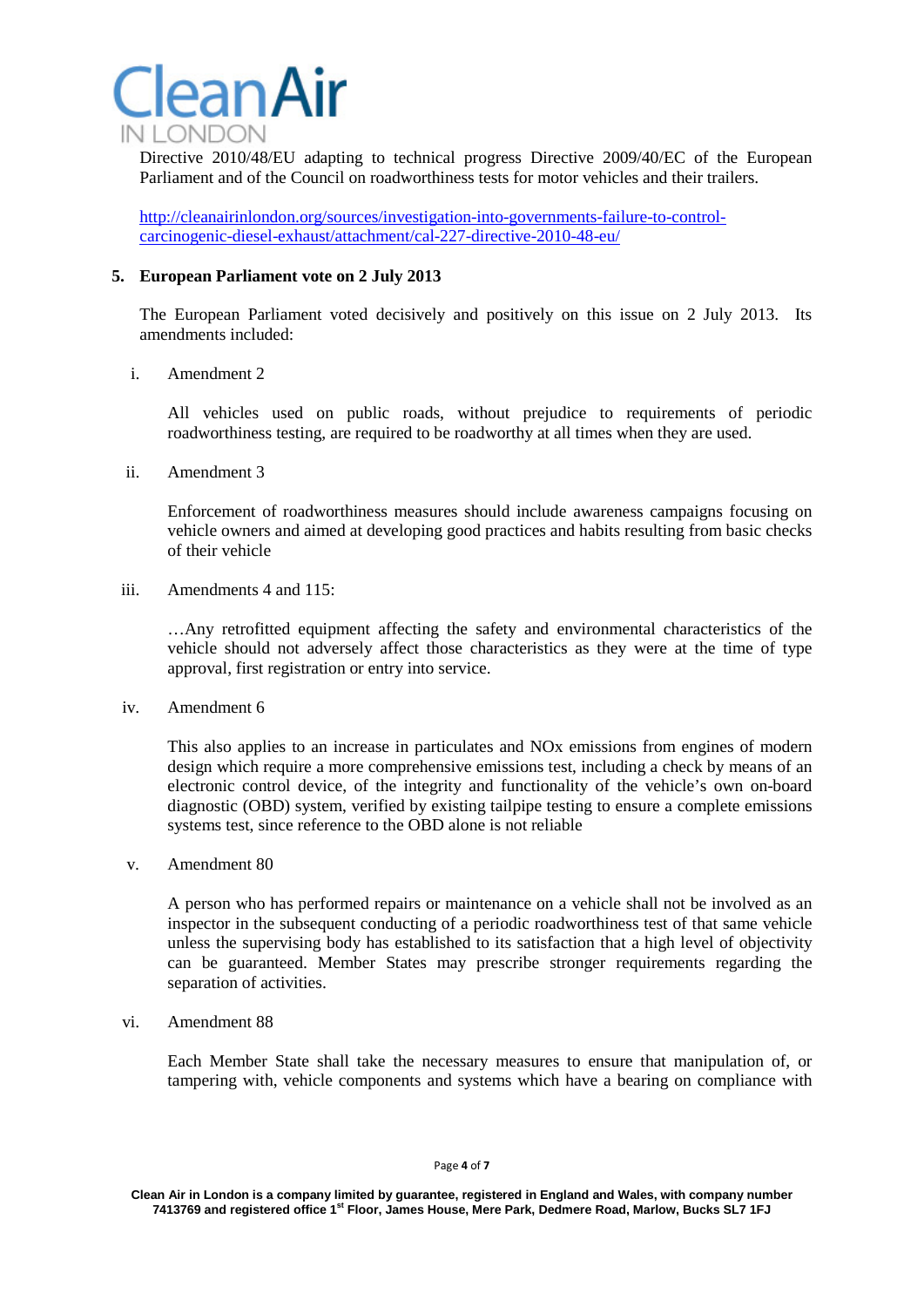

Directive 2010/48/EU adapting to technical progress Directive 2009/40/EC of the European Parliament and of the Council on roadworthiness tests for motor vehicles and their trailers.

[http://cleanairinlondon.org/sources/investigation-into-governments-failure-to-control](http://cleanairinlondon.org/sources/investigation-into-governments-failure-to-control-carcinogenic-diesel-exhaust/attachment/cal-227-directive-2010-48-eu/)[carcinogenic-diesel-exhaust/attachment/cal-227-directive-2010-48-eu/](http://cleanairinlondon.org/sources/investigation-into-governments-failure-to-control-carcinogenic-diesel-exhaust/attachment/cal-227-directive-2010-48-eu/)

### **5. European Parliament vote on 2 July 2013**

The European Parliament voted decisively and positively on this issue on 2 July 2013. Its amendments included:

i. Amendment 2

All vehicles used on public roads, without prejudice to requirements of periodic roadworthiness testing, are required to be roadworthy at all times when they are used.

ii. Amendment 3

Enforcement of roadworthiness measures should include awareness campaigns focusing on vehicle owners and aimed at developing good practices and habits resulting from basic checks of their vehicle

iii. Amendments 4 and 115:

…Any retrofitted equipment affecting the safety and environmental characteristics of the vehicle should not adversely affect those characteristics as they were at the time of type approval, first registration or entry into service.

iv. Amendment 6

This also applies to an increase in particulates and NOx emissions from engines of modern design which require a more comprehensive emissions test, including a check by means of an electronic control device, of the integrity and functionality of the vehicle's own on-board diagnostic (OBD) system, verified by existing tailpipe testing to ensure a complete emissions systems test, since reference to the OBD alone is not reliable

v. Amendment 80

A person who has performed repairs or maintenance on a vehicle shall not be involved as an inspector in the subsequent conducting of a periodic roadworthiness test of that same vehicle unless the supervising body has established to its satisfaction that a high level of objectivity can be guaranteed. Member States may prescribe stronger requirements regarding the separation of activities.

vi. Amendment 88

Each Member State shall take the necessary measures to ensure that manipulation of, or tampering with, vehicle components and systems which have a bearing on compliance with

**Clean Air in London is a company limited by guarantee, registered in England and Wales, with company number 7413769 and registered office 1st Floor, James House, Mere Park, Dedmere Road, Marlow, Bucks SL7 1FJ**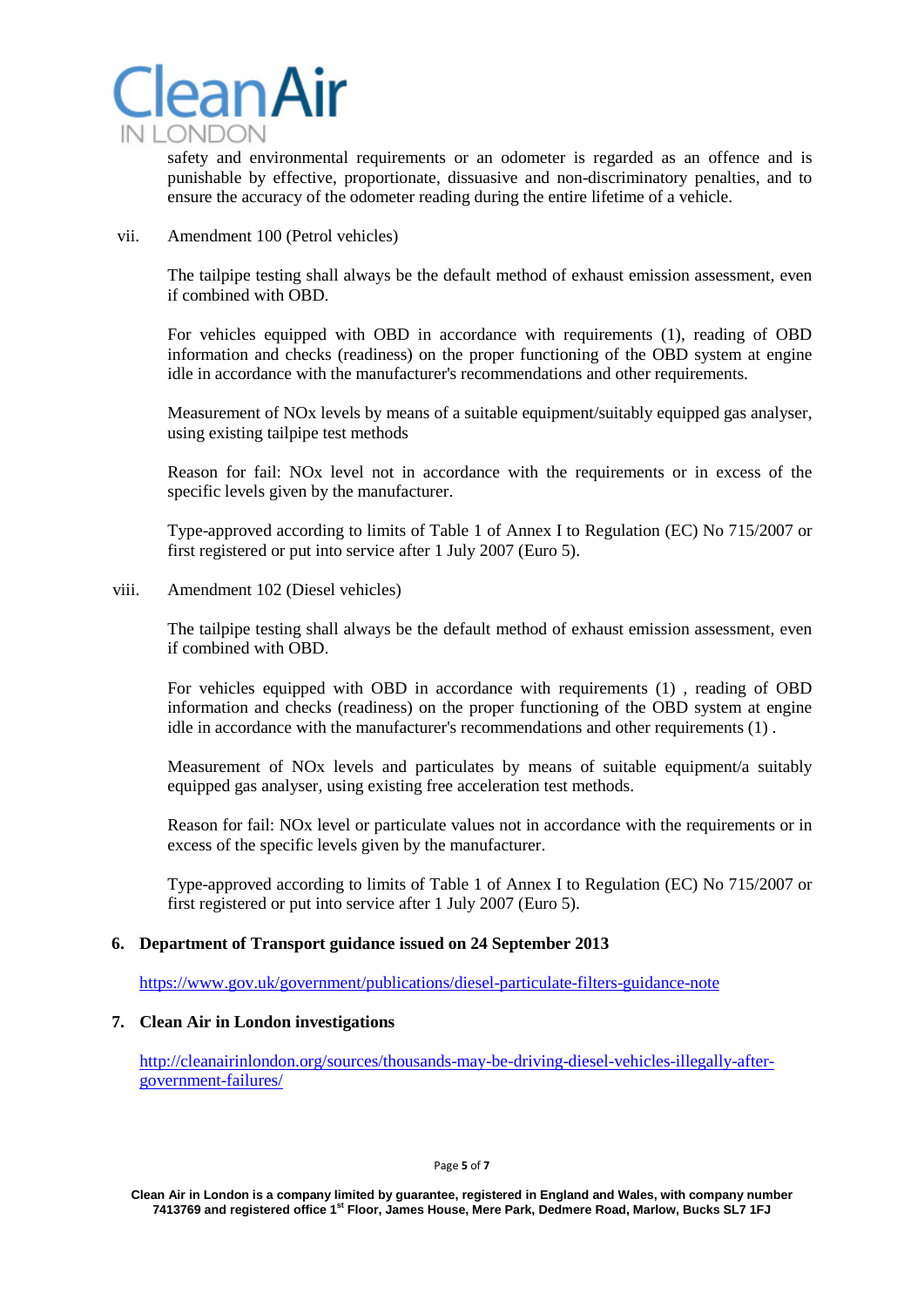

safety and environmental requirements or an odometer is regarded as an offence and is punishable by effective, proportionate, dissuasive and non-discriminatory penalties, and to ensure the accuracy of the odometer reading during the entire lifetime of a vehicle.

vii. Amendment 100 (Petrol vehicles)

The tailpipe testing shall always be the default method of exhaust emission assessment, even if combined with OBD.

For vehicles equipped with OBD in accordance with requirements (1), reading of OBD information and checks (readiness) on the proper functioning of the OBD system at engine idle in accordance with the manufacturer's recommendations and other requirements.

Measurement of NOx levels by means of a suitable equipment/suitably equipped gas analyser, using existing tailpipe test methods

Reason for fail: NOx level not in accordance with the requirements or in excess of the specific levels given by the manufacturer.

Type-approved according to limits of Table 1 of Annex I to Regulation (EC) No 715/2007 or first registered or put into service after 1 July 2007 (Euro 5).

viii. Amendment 102 (Diesel vehicles)

The tailpipe testing shall always be the default method of exhaust emission assessment, even if combined with OBD.

For vehicles equipped with OBD in accordance with requirements (1) , reading of OBD information and checks (readiness) on the proper functioning of the OBD system at engine idle in accordance with the manufacturer's recommendations and other requirements (1) .

Measurement of NOx levels and particulates by means of suitable equipment/a suitably equipped gas analyser, using existing free acceleration test methods.

Reason for fail: NOx level or particulate values not in accordance with the requirements or in excess of the specific levels given by the manufacturer.

Type-approved according to limits of Table 1 of Annex I to Regulation (EC) No 715/2007 or first registered or put into service after 1 July 2007 (Euro 5).

# **6. Department of Transport guidance issued on 24 September 2013**

<https://www.gov.uk/government/publications/diesel-particulate-filters-guidance-note>

# **7. Clean Air in London investigations**

[http://cleanairinlondon.org/sources/thousands-may-be-driving-diesel-vehicles-illegally-after](http://cleanairinlondon.org/sources/thousands-may-be-driving-diesel-vehicles-illegally-after-government-failures/)[government-failures/](http://cleanairinlondon.org/sources/thousands-may-be-driving-diesel-vehicles-illegally-after-government-failures/)

**Clean Air in London is a company limited by guarantee, registered in England and Wales, with company number 7413769 and registered office 1st Floor, James House, Mere Park, Dedmere Road, Marlow, Bucks SL7 1FJ**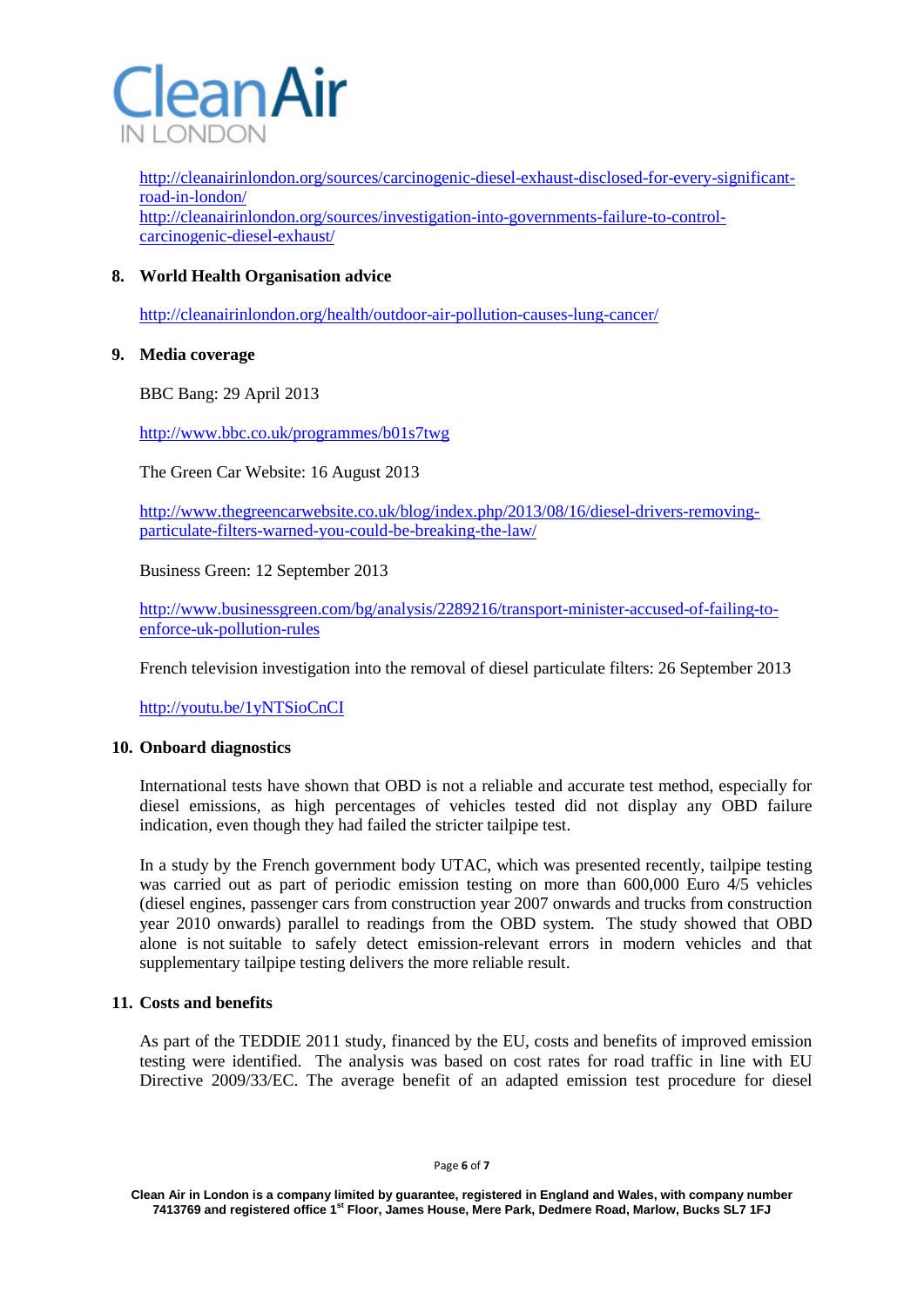

[http://cleanairinlondon.org/sources/carcinogenic-diesel-exhaust-disclosed-for-every-significant](http://cleanairinlondon.org/sources/carcinogenic-diesel-exhaust-disclosed-for-every-significant-road-in-london/)[road-in-london/](http://cleanairinlondon.org/sources/carcinogenic-diesel-exhaust-disclosed-for-every-significant-road-in-london/) [http://cleanairinlondon.org/sources/investigation-into-governments-failure-to-control](http://cleanairinlondon.org/sources/investigation-into-governments-failure-to-control-carcinogenic-diesel-exhaust/)[carcinogenic-diesel-exhaust/](http://cleanairinlondon.org/sources/investigation-into-governments-failure-to-control-carcinogenic-diesel-exhaust/)

# **8. World Health Organisation advice**

<http://cleanairinlondon.org/health/outdoor-air-pollution-causes-lung-cancer/>

# **9. Media coverage**

BBC Bang: 29 April 2013

<http://www.bbc.co.uk/programmes/b01s7twg>

The Green Car Website: 16 August 2013

[http://www.thegreencarwebsite.co.uk/blog/index.php/2013/08/16/diesel-drivers-removing](http://www.thegreencarwebsite.co.uk/blog/index.php/2013/08/16/diesel-drivers-removing-particulate-filters-warned-you-could-be-breaking-the-law/)[particulate-filters-warned-you-could-be-breaking-the-law/](http://www.thegreencarwebsite.co.uk/blog/index.php/2013/08/16/diesel-drivers-removing-particulate-filters-warned-you-could-be-breaking-the-law/)

Business Green: 12 September 2013

[http://www.businessgreen.com/bg/analysis/2289216/transport-minister-accused-of-failing-to](http://www.businessgreen.com/bg/analysis/2289216/transport-minister-accused-of-failing-to-enforce-uk-pollution-rules)[enforce-uk-pollution-rules](http://www.businessgreen.com/bg/analysis/2289216/transport-minister-accused-of-failing-to-enforce-uk-pollution-rules)

French television investigation into the removal of diesel particulate filters: 26 September 2013

<http://youtu.be/1yNTSioCnCI>

# **10. Onboard diagnostics**

International tests have shown that OBD is not a reliable and accurate test method, especially for diesel emissions, as high percentages of vehicles tested did not display any OBD failure indication, even though they had failed the stricter tailpipe test.

In a study by the French government body UTAC, which was presented recently, tailpipe testing was carried out as part of periodic emission testing on more than 600,000 Euro 4/5 vehicles (diesel engines, passenger cars from construction year 2007 onwards and trucks from construction year 2010 onwards) parallel to readings from the OBD system. The study showed that OBD alone is not suitable to safely detect emission-relevant errors in modern vehicles and that supplementary tailpipe testing delivers the more reliable result.

### **11. Costs and benefits**

As part of the TEDDIE 2011 study, financed by the EU, costs and benefits of improved emission testing were identified. The analysis was based on cost rates for road traffic in line with EU Directive 2009/33/EC. The average benefit of an adapted emission test procedure for diesel